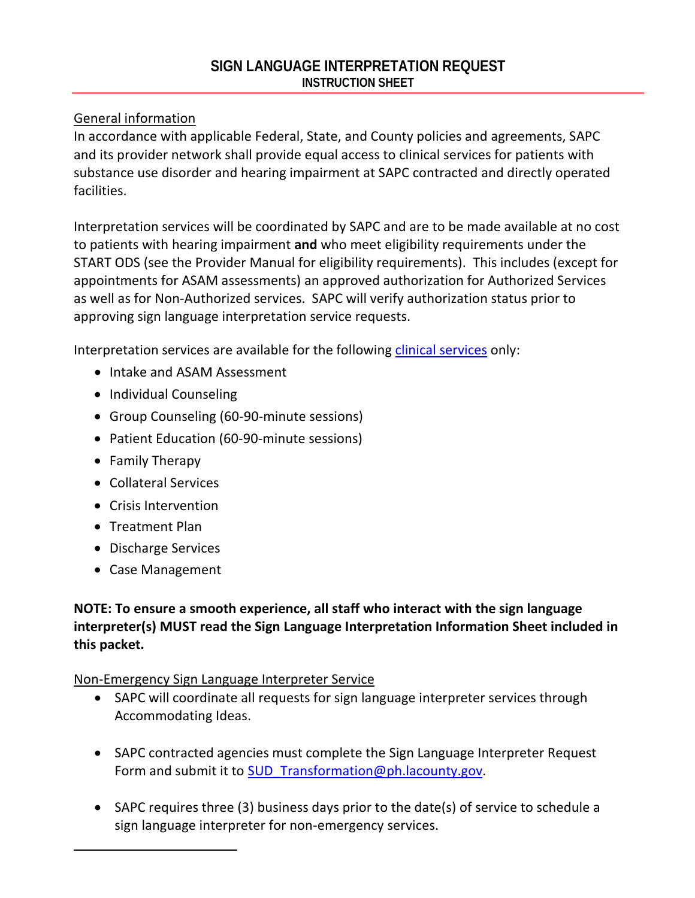## General information

In accordance with applicable Federal, State, and County policies and agreements, SAPC and its provider network shall provide equal access to clinical services for patients with substance use disorder and hearing impairment at SAPC contracted and directly operated facilities.

Interpretation services will be coordinated by SAPC and are to be made available at no cost to patients with hearing impairment **and** who meet eligibility requirements under the START ODS (see the Provider Manual for eligibility requirements). This includes (except for appointments for ASAM assessments) an approved authorization for Authorized Services as well as for Non-Authorized services. SAPC will verify authorization status prior to approving sign language interpretation service requests.

Interpretation services are available for the following clinical services only:

- Intake and ASAM Assessment
- Individual Counseling
- Group Counseling (60-90-minute sessions)
- Patient Education (60-90-minute sessions)
- Family Therapy
- Collateral Services
- Crisis Intervention
- Treatment Plan
- Discharge Services
- Case Management

# **NOTE: To ensure a smooth experience, all staff who interact with the sign language interpreter(s) MUST read the Sign Language Interpretation Information Sheet included in this packet.**

# Non-Emergency Sign Language Interpreter Service

- SAPC will coordinate all requests for sign language interpreter services through Accommodating Ideas.
- SAPC contracted agencies must complete the Sign Language Interpreter Request Form and submit it to [SUD\\_Transformation@ph.lacounty.gov.](mailto:SUD_Transformation@ph.lacounty.gov)
- SAPC requires three (3) business days prior to the date(s) of service to schedule a sign language interpreter for non-emergency services.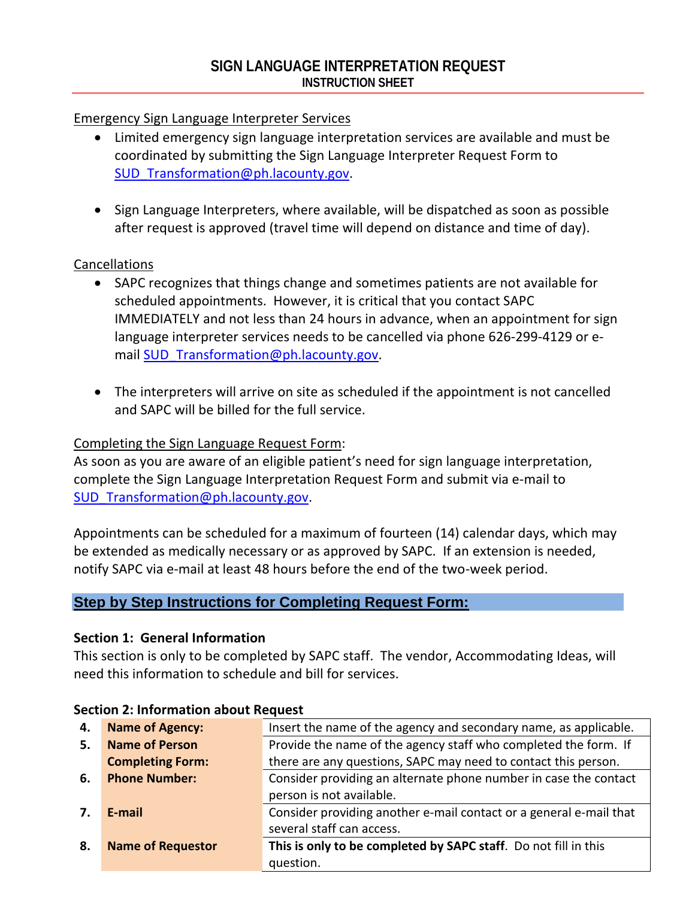#### Emergency Sign Language Interpreter Services

- Limited emergency sign language interpretation services are available and must be coordinated by submitting the Sign Language Interpreter Request Form to SUD Transformation@ph.lacounty.gov.
- Sign Language Interpreters, where available, will be dispatched as soon as possible after request is approved (travel time will depend on distance and time of day).

#### Cancellations

- SAPC recognizes that things change and sometimes patients are not available for scheduled appointments. However, it is critical that you contact SAPC IMMEDIATELY and not less than 24 hours in advance, when an appointment for sign language interpreter services needs to be cancelled via phone 626-299-4129 or email SUD Transformation@ph.lacounty.gov.
- The interpreters will arrive on site as scheduled if the appointment is not cancelled and SAPC will be billed for the full service.

## Completing the Sign Language Request Form:

As soon as you are aware of an eligible patient's need for sign language interpretation, complete the Sign Language Interpretation Request Form and submit via e-mail to SUD Transformation@ph.lacounty.gov.

Appointments can be scheduled for a maximum of fourteen (14) calendar days, which may be extended as medically necessary or as approved by SAPC. If an extension is needed, notify SAPC via e-mail at least 48 hours before the end of the two-week period.

#### **Step by Step Instructions for Completing Request Form:**

#### **Section 1: General Information**

This section is only to be completed by SAPC staff. The vendor, Accommodating Ideas, will need this information to schedule and bill for services.

| 4. | <b>Name of Agency:</b>   | Insert the name of the agency and secondary name, as applicable.   |
|----|--------------------------|--------------------------------------------------------------------|
| 5. | <b>Name of Person</b>    | Provide the name of the agency staff who completed the form. If    |
|    | <b>Completing Form:</b>  | there are any questions, SAPC may need to contact this person.     |
| 6. | <b>Phone Number:</b>     | Consider providing an alternate phone number in case the contact   |
|    |                          | person is not available.                                           |
| 7. | E-mail                   | Consider providing another e-mail contact or a general e-mail that |
|    |                          | several staff can access.                                          |
| 8. | <b>Name of Requestor</b> | This is only to be completed by SAPC staff. Do not fill in this    |
|    |                          | question.                                                          |

#### **Section 2: Information about Request**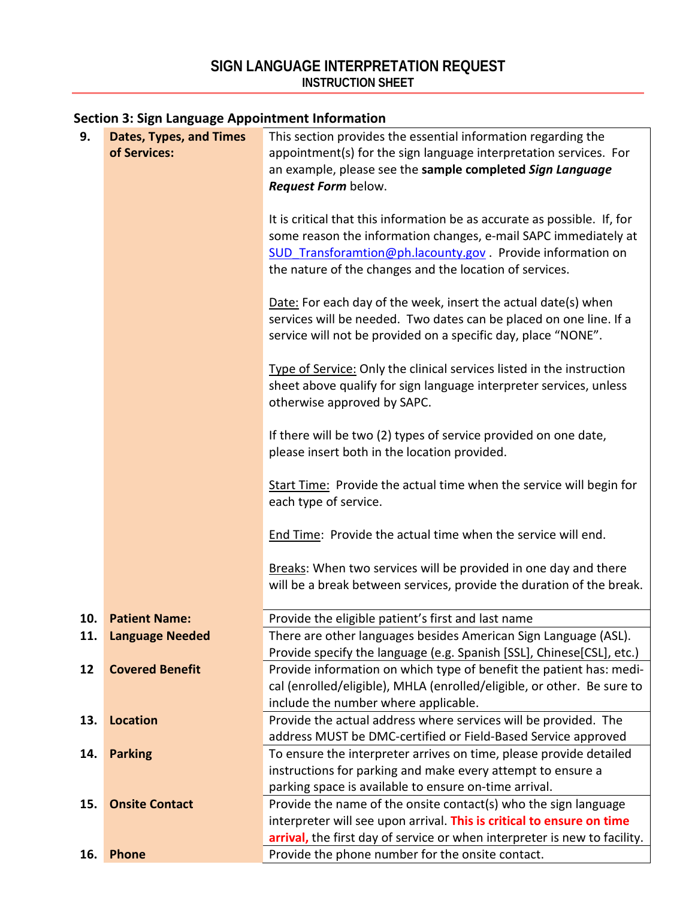# **Section 3: Sign Language Appointment Information**

| 9.  | <b>Dates, Types, and Times</b><br>of Services: | This section provides the essential information regarding the<br>appointment(s) for the sign language interpretation services. For<br>an example, please see the sample completed Sign Language<br>Request Form below.                                                |  |  |  |  |
|-----|------------------------------------------------|-----------------------------------------------------------------------------------------------------------------------------------------------------------------------------------------------------------------------------------------------------------------------|--|--|--|--|
|     |                                                | It is critical that this information be as accurate as possible. If, for<br>some reason the information changes, e-mail SAPC immediately at<br>SUD Transforamtion@ph.lacounty.gov . Provide information on<br>the nature of the changes and the location of services. |  |  |  |  |
|     |                                                | Date: For each day of the week, insert the actual date(s) when<br>services will be needed. Two dates can be placed on one line. If a<br>service will not be provided on a specific day, place "NONE".                                                                 |  |  |  |  |
|     |                                                | Type of Service: Only the clinical services listed in the instruction<br>sheet above qualify for sign language interpreter services, unless<br>otherwise approved by SAPC.                                                                                            |  |  |  |  |
|     |                                                | If there will be two (2) types of service provided on one date,<br>please insert both in the location provided.                                                                                                                                                       |  |  |  |  |
|     |                                                | Start Time: Provide the actual time when the service will begin for<br>each type of service.                                                                                                                                                                          |  |  |  |  |
|     |                                                | End Time: Provide the actual time when the service will end.                                                                                                                                                                                                          |  |  |  |  |
|     |                                                | Breaks: When two services will be provided in one day and there<br>will be a break between services, provide the duration of the break.                                                                                                                               |  |  |  |  |
| 10. | <b>Patient Name:</b>                           | Provide the eligible patient's first and last name                                                                                                                                                                                                                    |  |  |  |  |
| 11. | <b>Language Needed</b>                         | There are other languages besides American Sign Language (ASL).                                                                                                                                                                                                       |  |  |  |  |
|     |                                                | Provide specify the language (e.g. Spanish [SSL], Chinese[CSL], etc.)                                                                                                                                                                                                 |  |  |  |  |
| 12  | <b>Covered Benefit</b>                         | Provide information on which type of benefit the patient has: medi-<br>cal (enrolled/eligible), MHLA (enrolled/eligible, or other. Be sure to<br>include the number where applicable.                                                                                 |  |  |  |  |
| 13. | <b>Location</b>                                | Provide the actual address where services will be provided. The                                                                                                                                                                                                       |  |  |  |  |
|     |                                                | address MUST be DMC-certified or Field-Based Service approved                                                                                                                                                                                                         |  |  |  |  |
| 14. | <b>Parking</b>                                 | To ensure the interpreter arrives on time, please provide detailed                                                                                                                                                                                                    |  |  |  |  |
|     |                                                | instructions for parking and make every attempt to ensure a                                                                                                                                                                                                           |  |  |  |  |
|     |                                                | parking space is available to ensure on-time arrival.                                                                                                                                                                                                                 |  |  |  |  |
| 15. | <b>Onsite Contact</b>                          | Provide the name of the onsite contact(s) who the sign language                                                                                                                                                                                                       |  |  |  |  |
|     |                                                | interpreter will see upon arrival. This is critical to ensure on time                                                                                                                                                                                                 |  |  |  |  |
|     |                                                | arrival, the first day of service or when interpreter is new to facility.                                                                                                                                                                                             |  |  |  |  |
| 16. | <b>Phone</b>                                   | Provide the phone number for the onsite contact.                                                                                                                                                                                                                      |  |  |  |  |